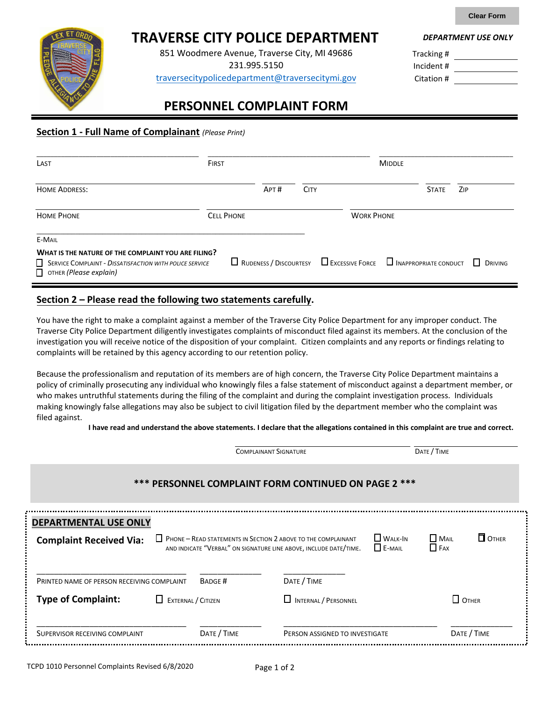**Clear Form**

# **TRAVERSE CITY POLICE DEPARTMENT**

851 Woodmere Avenue, Traverse City, MI 49686

231.995.5150

traverseci[typolicedepartment](mailto:citypolice@midland-mi.org)@traversecitymi.gov

*DEPARTMENT USE ONLY*

Tracking # Incident # Citation #

## **PERSONNEL COMPLAINT FORM**

## **Section 1 - Full Name of Complainant** *(Please Print)*

| LAST                                                                                                                                            | <b>FIRST</b>      |                                                                                   | <b>MIDDLE</b> |  |  |              |                    |
|-------------------------------------------------------------------------------------------------------------------------------------------------|-------------------|-----------------------------------------------------------------------------------|---------------|--|--|--------------|--------------------|
| <b>HOME ADDRESS:</b>                                                                                                                            |                   | APT#                                                                              | <b>CITY</b>   |  |  | <b>STATE</b> | ZIP                |
| <b>HOME PHONE</b>                                                                                                                               | <b>CELL PHONE</b> | <b>WORK PHONE</b>                                                                 |               |  |  |              |                    |
| E-MAIL                                                                                                                                          |                   |                                                                                   |               |  |  |              |                    |
| WHAT IS THE NATURE OF THE COMPLAINT YOU ARE FILING?<br>SERVICE COMPLAINT - DISSATISFACTION WITH POLICE SERVICE<br>$\Box$ ОТНЕК (Please explain) |                   | $\Box$ RUDENESS / DISCOURTESY $\Box$ EXCESSIVE FORCE $\Box$ INAPPROPRIATE CONDUCT |               |  |  |              | $\perp$<br>DRIVING |

## **Section 2 – Please read the following two statements carefully.**

You have the right to make a complaint against a member of the Traverse City Police Department for any improper conduct. The Traverse City Police Department diligently investigates complaints of misconduct filed against its members. At the conclusion of the investigation you will receive notice of the disposition of your complaint. Citizen complaints and any reports or findings relating to complaints will be retained by this agency according to our retention policy.

Because the professionalism and reputation of its members are of high concern, the Traverse City Police Department maintains a policy of criminally prosecuting any individual who knowingly files a false statement of misconduct against a department member, or who makes untruthful statements during the filing of the complaint and during the complaint investigation process. Individuals making knowingly false allegations may also be subject to civil litigation filed by the department member who the complaint was filed against.

**I have read and understand the above statements. I declare that the allegations contained in this complaint are true and correct.**

|                                                      |                         | <b>COMPLAINANT SIGNATURE</b> |                                                                                                                                              |                                 | DATE / TIME                 |              |  |
|------------------------------------------------------|-------------------------|------------------------------|----------------------------------------------------------------------------------------------------------------------------------------------|---------------------------------|-----------------------------|--------------|--|
| *** PERSONNEL COMPLAINT FORM CONTINUED ON PAGE 2 *** |                         |                              |                                                                                                                                              |                                 |                             |              |  |
| <b>DEPARTMENTAL USE ONLY</b>                         |                         |                              |                                                                                                                                              |                                 |                             |              |  |
| <b>Complaint Received Via:</b>                       |                         |                              | <b>Heronard - READ STATEMENTS IN SECTION 2 ABOVE TO THE COMPLAINANT</b><br>AND INDICATE "VERBAL" ON SIGNATURE LINE ABOVE, INCLUDE DATE/TIME. | <b>WALK-IN</b><br>$\Box$ E-MAIL | <b>I</b> MAIL<br>$\Box$ FAX | $\Box$ OTHER |  |
| PRINTED NAME OF PERSON RECEIVING COMPLAINT           |                         | <b>BADGE#</b>                | DATE / TIME                                                                                                                                  |                                 |                             |              |  |
| <b>Type of Complaint:</b>                            | EXTERNAL / CITIZEN<br>⊔ |                              | <b>INTERNAL / PERSONNEL</b>                                                                                                                  |                                 | $\Box$ OTHER                |              |  |
| SUPERVISOR RECEIVING COMPLAINT                       |                         | DATE / TIME                  | DATE / TIME<br>PERSON ASSIGNED TO INVESTIGATE                                                                                                |                                 |                             |              |  |